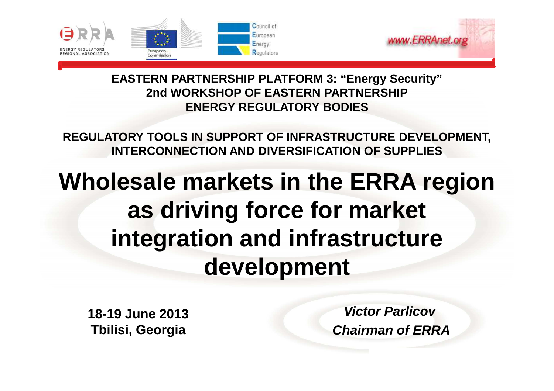



**EASTERN PARTNERSHIP PLATFORM 3: "Energy Security"2nd WORKSHOP OF EASTERN PARTNERSHIP ENERGY REGULATORY BODIES**

**REGULATORY TOOLS IN SUPPORT OF INFRASTRUCTURE DEVELOPMENT,INTERCONNECTION AND DIVERSIFICATION OF SUPPLIES**

## **Wholesale markets in the ERRA region as driving force for marketintegration and infrastructure development**

**18-19 June 2013 Tbilisi, Georgia**

**Victor ParlicovChairman of ERRA**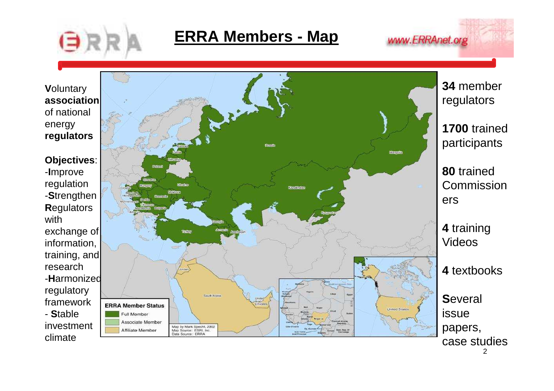

## **ERRA Members - Map**

www.ERRAnet.org



2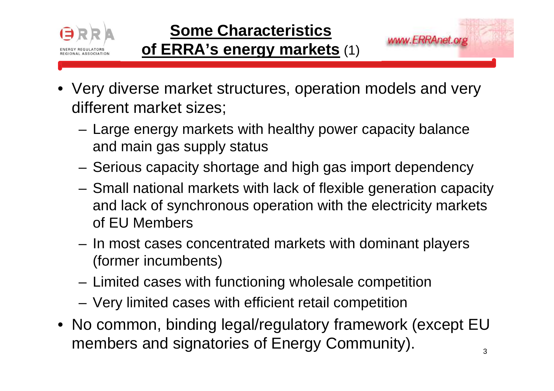

- Very diverse market structures, operation models and very different market sizes;
	- **Links of the Company**  Large energy markets with healthy power capacity balance and main gas supply status
	- **Links of the Company** Serious capacity shortage and high gas import dependency
	- – Small national markets with lack of flexible generation capacity and lack of synchronous operation with the electricity markets of EU Members
	- **Links of the Company**  In most cases concentrated markets with dominant players (former incumbents)
	- **Links of the Company** Limited cases with functioning wholesale competition
	- **Links of the Company** Very limited cases with efficient retail competition
- No common, binding legal/regulatory framework (except EU members and signatories of Energy Community).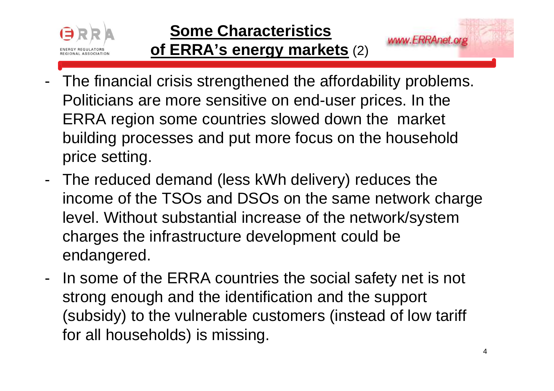

## **of ERRA's energy markets** (2)

- The financial crisis strengthened the affordability problems. Politicians are more sensitive on end-user prices. In the ERRA region some countries slowed down the market building processes and put more focus on the household price setting.
- - The reduced demand (less kWh delivery) reduces the income of the TSOs and DSOs on the same network charge level. Without substantial increase of the network/system charges the infrastructure development could be endangered.
- - In some of the ERRA countries the social safety net is not strong enough and the identification and the support (subsidy) to the vulnerable customers (instead of low tariff for all households) is missing.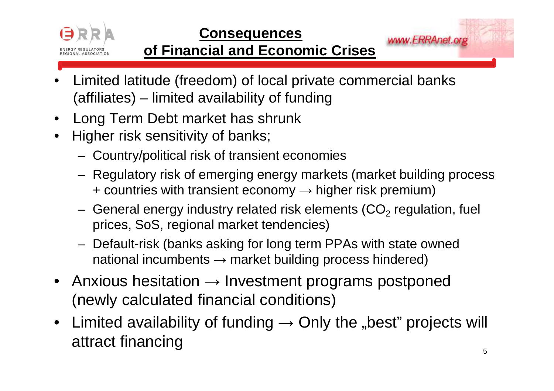

www.ERRAnet.org

### **of Financial and Economic Crises**

- • Limited latitude (freedom) of local private commercial banks (affiliates) – limited availability of funding
- $\bullet$ Long Term Debt market has shrunk
- $\bullet$  Higher risk sensitivity of banks;
	- –Country/political risk of transient economies
	- – Regulatory risk of emerging energy markets (market building process+ countries with transient economy  $\rightarrow$  higher risk premium)
	- –General energy industry related risk elements  $(CO<sub>2</sub>$  regulation, fuel prices, SoS, regional market tendencies)
	- – Default-risk (banks asking for long term PPAs with state owned national incumbents  $\rightarrow$  market building process hindered)
- Anxious hesitation  $\rightarrow$  Investment programs postponed (newly calculated financial conditions)
- $\bullet$ Limited availability of funding  $\rightarrow$  Only the "best" projects will attract financing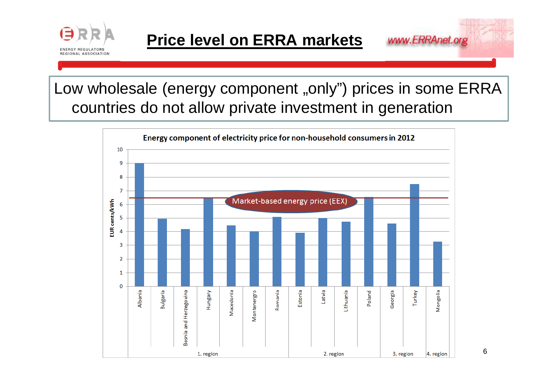

www.ERRAnet.org

Low wholesale (energy component "only") prices in some ERRA countries do not allow private investment in generation



6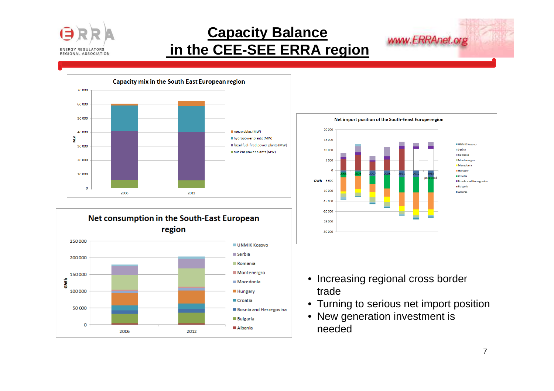

#### **Capacity Balancein the CEE-SEE ERRA region**







- Increasing regional cross border trade
- Turning to serious net import position
- New generation investment is needed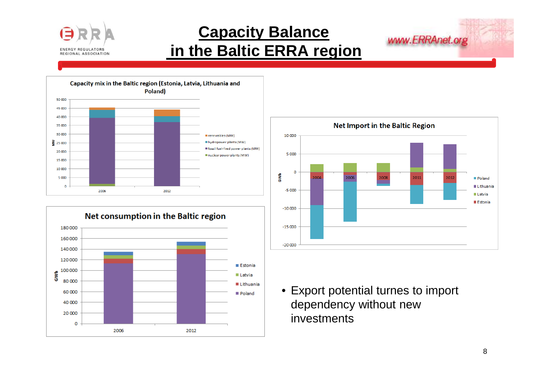

## **Capacity Balancein the Baltic ERRA region**







www.ERRAnet.org

• Export potential turnes to import dependency without new investments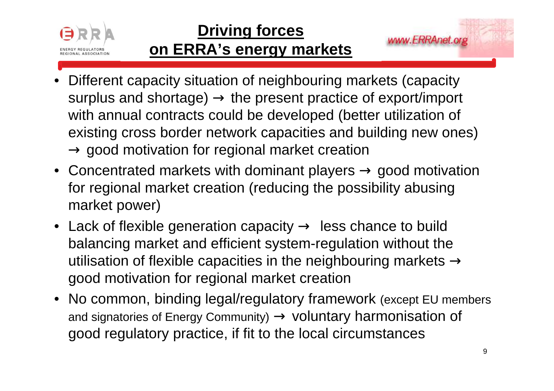

## **Driving forceson ERRA's energy markets**

- • Different capacity situation of neighbouring markets (capacity surplus and shortage) → the present practice of export/import<br>with annual contracts could be developed (better utilization of with annual contracts could be developed (better utilization of existing cross border network capacities and building new ones) → good motivation for regional market creation<br>Concentrated markets with deminent players
- Concentrated markets with dominant players  $\rightarrow$  good motivation<br>for regional market creation (reducing the possibility abusing for regional market creation (reducing the possibility abusing market power)
- Lack of flexible generation capacity → less chance to build<br>halancing market and efficient system-requlation without the balancing market and efficient system-regulation without the utilisation of flexible capacities in the neighbouring markets  $\rightarrow$ good motivation for regional market creation
- No common, binding legal/regulatory framework (except EU members and signatories of Energy Community) → voluntary harmonisation of<br>good requlatory practice, if fit to the local circumstances good regulatory practice, if fit to the local circumstances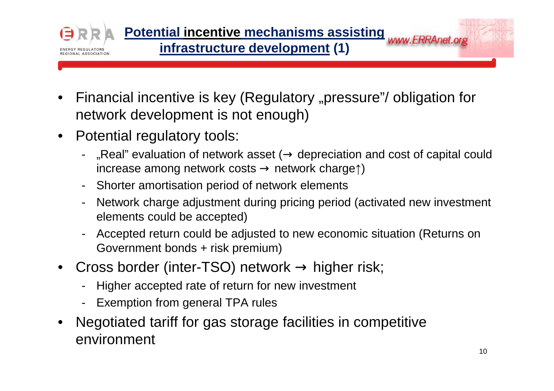

- $\bullet$ Financial incentive is key (Regulatory "pressure"/ obligation for network development is not enough)
- $\bullet$  Potential regulatory tools:
	- "Real" evaluation of network asset ( $\rightarrow$  depreciation and cost of capital could increase among network costs  $\rightarrow$  network charget) increase among network costs → network charge↑)
	- Shorter amortisation period of network elements
	- Network charge adjustment during pricing period (activated new investment elements could be accepted)
	- Accepted return could be adjusted to new economic situation (Returns on Government bonds + risk premium)
- •Cross border (inter-TSO) network  $\rightarrow$  higher risk;<br>Figure accepted rate of return for new investment
	- Higher accepted rate of return for new investment
	- -Exemption from general TPA rules
- $\bullet$  Negotiated tariff for gas storage facilities in competitive environment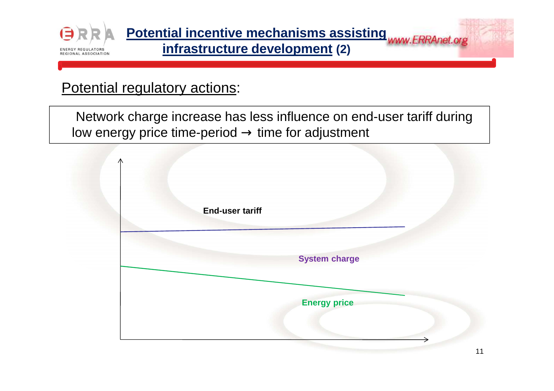

**Potential incentive mechanisms assisting infrastructure development (2)**

#### Potential regulatory actions:

Network charge increase has less influence on end-user tariff during low energy price time-period  $\rightarrow$  time for adjustment

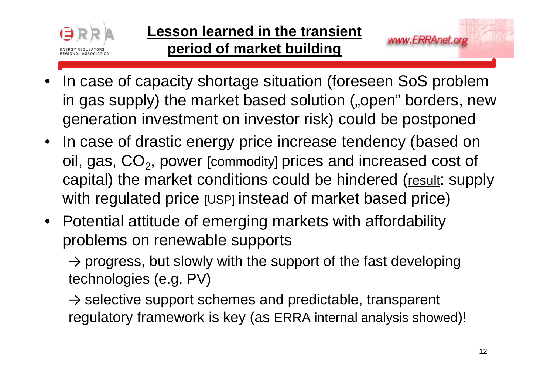

•

- In case of capacity shortage situation (foreseen SoS problem $\mathbf{r}$ in gas supply) the market based solution ("open" borders, new
- generation investment on investor risk) could be postponed
- • In case of drastic energy price increase tendency (based on oil, gas, CO<sub>2</sub>, power [commodity] prices and increased cost of capital) the market conditions could be hindered (result: supply with regulated price [USP] instead of market based price)
- Potential attitude of emerging markets with affordability problems on renewable supports

 $\rightarrow$  progress, but slowly with the support of the fast developing technologies (e.g. PV)

→ selective support schemes and predictable, transparent<br>requistery framowerk is key (as ERRA internal analysis show regulatory framework is key (as ERRA internal analysis showed)!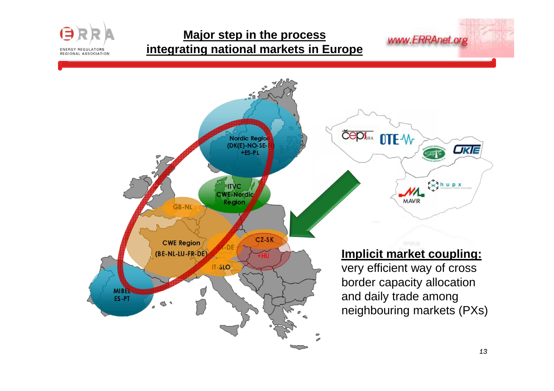#### **Major step in the process integrating national markets in Europe**

**ENERGY REGULATORS REGIONAL ASSOCIATION** 

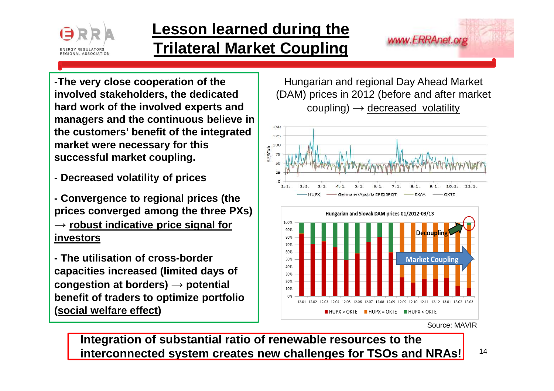

### **Lesson learned during the Trilateral Market Coupling**

www.ERRAnet.org

**-The very close cooperation of the involved stakeholders, the dedicated hard work of the involved experts and managers and the continuous believe in the customers' benefit of the integrated market were necessary for this successful market coupling.**

**- Decreased volatility of prices**

**- Convergence to regional prices (the prices converged among the three PXs) → robust indicative price signal for investors**

**- The utilisation of cross-border capacities increased (limited days of congestion at borders) →**congestion at borders) → potential<br>benefit of traders to optimize portfolio **(social welfare effect)** 

Hungarian and regional Day Ahead Market(DAM) prices in 2012 (before and after market coupling) **→** decreased volatility





Source: MAVIR

**Integration of substantial ratio of renewable resources to the interconnected system creates new challenges for TSOs and NRAs!**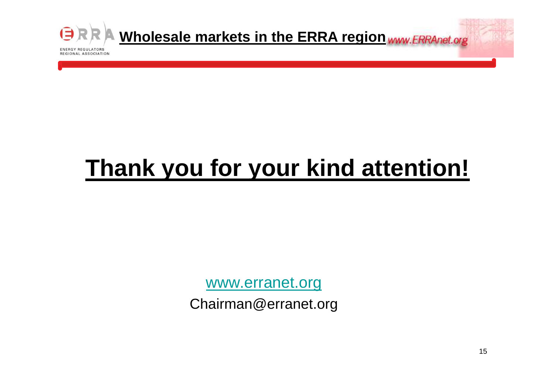

# **Thank you for your kind attention!**

www.erranet.org

Chairman@erranet.org